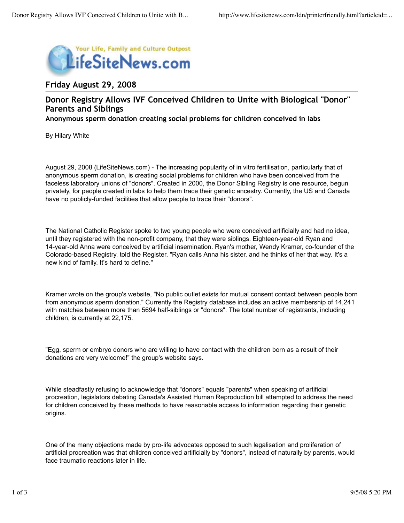

## **Friday August 29, 2008**

## **Donor Registry Allows IVF Conceived Children to Unite with Biological "Donor" Parents and Siblings**

**Anonymous sperm donation creating social problems for children conceived in labs**

By Hilary White

August 29, 2008 (LifeSiteNews.com) - The increasing popularity of in vitro fertilisation, particularly that of anonymous sperm donation, is creating social problems for children who have been conceived from the faceless laboratory unions of "donors". Created in 2000, the Donor Sibling Registry is one resource, begun privately, for people created in labs to help them trace their genetic ancestry. Currently, the US and Canada have no publicly-funded facilities that allow people to trace their "donors".

The National Catholic Register spoke to two young people who were conceived artificially and had no idea, until they registered with the non-profit company, that they were siblings. Eighteen-year-old Ryan and 14-year-old Anna were conceived by artificial insemination. Ryan's mother, Wendy Kramer, co-founder of the Colorado-based Registry, told the Register, "Ryan calls Anna his sister, and he thinks of her that way. It's a new kind of family. It's hard to define."

Kramer wrote on the group's website, "No public outlet exists for mutual consent contact between people born from anonymous sperm donation." Currently the Registry database includes an active membership of 14,241 with matches between more than 5694 half-siblings or "donors". The total number of registrants, including children, is currently at 22,175.

"Egg, sperm or embryo donors who are willing to have contact with the children born as a result of their donations are very welcome!" the group's website says.

While steadfastly refusing to acknowledge that "donors" equals "parents" when speaking of artificial procreation, legislators debating Canada's Assisted Human Reproduction bill attempted to address the need for children conceived by these methods to have reasonable access to information regarding their genetic origins.

One of the many objections made by pro-life advocates opposed to such legalisation and proliferation of artificial procreation was that children conceived artificially by "donors", instead of naturally by parents, would face traumatic reactions later in life.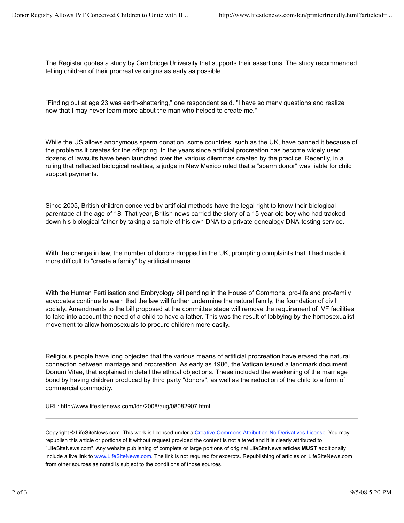The Register quotes a study by Cambridge University that supports their assertions. The study recommended telling children of their procreative origins as early as possible.

"Finding out at age 23 was earth-shattering," one respondent said. "I have so many questions and realize now that I may never learn more about the man who helped to create me."

While the US allows anonymous sperm donation, some countries, such as the UK, have banned it because of the problems it creates for the offspring. In the years since artificial procreation has become widely used, dozens of lawsuits have been launched over the various dilemmas created by the practice. Recently, in a ruling that reflected biological realities, a judge in New Mexico ruled that a "sperm donor" was liable for child support payments.

Since 2005, British children conceived by artificial methods have the legal right to know their biological parentage at the age of 18. That year, British news carried the story of a 15 year-old boy who had tracked down his biological father by taking a sample of his own DNA to a private genealogy DNA-testing service.

With the change in law, the number of donors dropped in the UK, prompting complaints that it had made it more difficult to "create a family" by artificial means.

With the Human Fertilisation and Embryology bill pending in the House of Commons, pro-life and pro-family advocates continue to warn that the law will further undermine the natural family, the foundation of civil society. Amendments to the bill proposed at the committee stage will remove the requirement of IVF facilities to take into account the need of a child to have a father. This was the result of lobbying by the homosexualist movement to allow homosexuals to procure children more easily.

Religious people have long objected that the various means of artificial procreation have erased the natural connection between marriage and procreation. As early as 1986, the Vatican issued a landmark document, Donum Vitae, that explained in detail the ethical objections. These included the weakening of the marriage bond by having children produced by third party "donors", as well as the reduction of the child to a form of commercial commodity.

URL: http://www.lifesitenews.com/ldn/2008/aug/08082907.html

Copyright © LifeSiteNews.com. This work is licensed under a Creative Commons Attribution-No Derivatives License. You may republish this article or portions of it without request provided the content is not altered and it is clearly attributed to "LifeSiteNews.com". Any website publishing of complete or large portions of original LifeSiteNews articles **MUST** additionally include a live link to www.LifeSiteNews.com. The link is not required for excerpts. Republishing of articles on LifeSiteNews.com from other sources as noted is subject to the conditions of those sources.